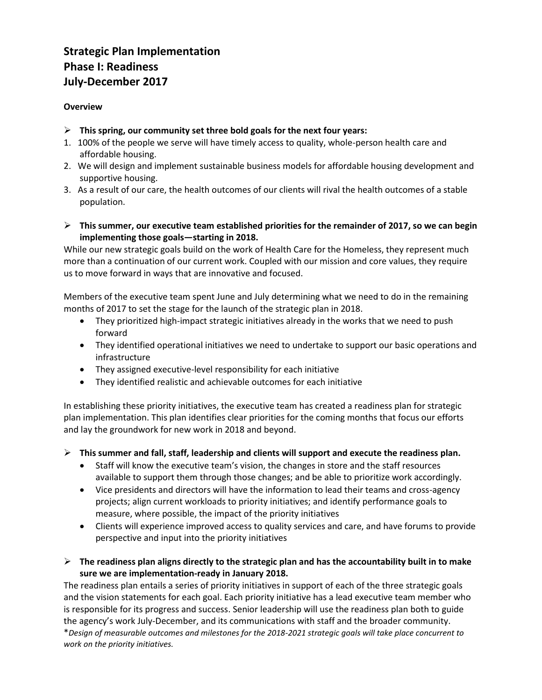## **Strategic Plan Implementation Phase I: Readiness July-December 2017**

#### **Overview**

- **This spring, our community set three bold goals for the next four years:**
- 1. 100% of the people we serve will have timely access to quality, whole-person health care and affordable housing.
- 2. We will design and implement sustainable business models for affordable housing development and supportive housing.
- 3. As a result of our care, the health outcomes of our clients will rival the health outcomes of a stable population.
- **This summer, our executive team established priorities for the remainder of 2017, so we can begin implementing those goals—starting in 2018.**

While our new strategic goals build on the work of Health Care for the Homeless, they represent much more than a continuation of our current work. Coupled with our mission and core values, they require us to move forward in ways that are innovative and focused.

Members of the executive team spent June and July determining what we need to do in the remaining months of 2017 to set the stage for the launch of the strategic plan in 2018.

- They prioritized high-impact strategic initiatives already in the works that we need to push forward
- They identified operational initiatives we need to undertake to support our basic operations and infrastructure
- They assigned executive-level responsibility for each initiative
- They identified realistic and achievable outcomes for each initiative

In establishing these priority initiatives, the executive team has created a readiness plan for strategic plan implementation. This plan identifies clear priorities for the coming months that focus our efforts and lay the groundwork for new work in 2018 and beyond.

**This summer and fall, staff, leadership and clients will support and execute the readiness plan.**

- Staff will know the executive team's vision, the changes in store and the staff resources available to support them through those changes; and be able to prioritize work accordingly.
- Vice presidents and directors will have the information to lead their teams and cross-agency projects; align current workloads to priority initiatives; and identify performance goals to measure, where possible, the impact of the priority initiatives
- Clients will experience improved access to quality services and care, and have forums to provide perspective and input into the priority initiatives
- **The readiness plan aligns directly to the strategic plan and has the accountability built in to make sure we are implementation-ready in January 2018.**

The readiness plan entails a series of priority initiatives in support of each of the three strategic goals and the vision statements for each goal. Each priority initiative has a lead executive team member who is responsible for its progress and success. Senior leadership will use the readiness plan both to guide the agency's work July-December, and its communications with staff and the broader community. \**Design of measurable outcomes and milestones for the 2018-2021 strategic goals will take place concurrent to work on the priority initiatives.*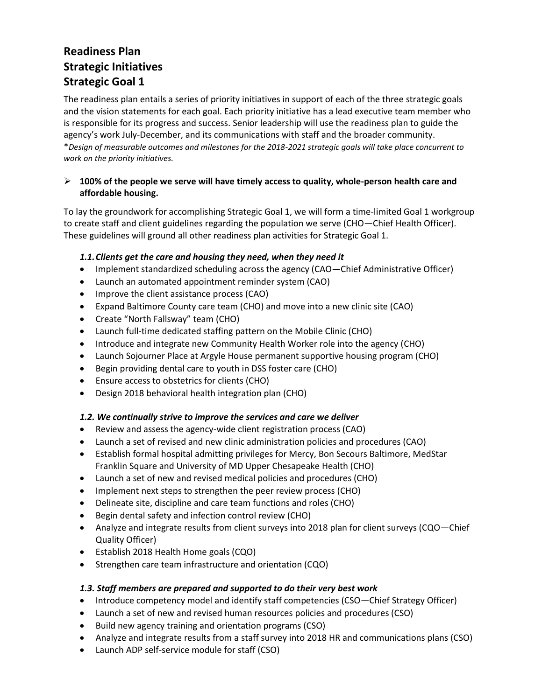## **Readiness Plan Strategic Initiatives Strategic Goal 1**

The readiness plan entails a series of priority initiatives in support of each of the three strategic goals and the vision statements for each goal. Each priority initiative has a lead executive team member who is responsible for its progress and success. Senior leadership will use the readiness plan to guide the agency's work July-December, and its communications with staff and the broader community. \**Design of measurable outcomes and milestones for the 2018-2021 strategic goals will take place concurrent to work on the priority initiatives.*

## **100% of the people we serve will have timely access to quality, whole-person health care and affordable housing.**

To lay the groundwork for accomplishing Strategic Goal 1, we will form a time-limited Goal 1 workgroup to create staff and client guidelines regarding the population we serve (CHO—Chief Health Officer). These guidelines will ground all other readiness plan activities for Strategic Goal 1.

## *1.1.Clients get the care and housing they need, when they need it*

- Implement standardized scheduling across the agency (CAO—Chief Administrative Officer)
- Launch an automated appointment reminder system (CAO)
- Improve the client assistance process (CAO)
- Expand Baltimore County care team (CHO) and move into a new clinic site (CAO)
- Create "North Fallsway" team (CHO)
- Launch full-time dedicated staffing pattern on the Mobile Clinic (CHO)
- Introduce and integrate new Community Health Worker role into the agency (CHO)
- Launch Sojourner Place at Argyle House permanent supportive housing program (CHO)
- Begin providing dental care to youth in DSS foster care (CHO)
- Ensure access to obstetrics for clients (CHO)
- Design 2018 behavioral health integration plan (CHO)

#### *1.2. We continually strive to improve the services and care we deliver*

- Review and assess the agency-wide client registration process (CAO)
- Launch a set of revised and new clinic administration policies and procedures (CAO)
- Establish formal hospital admitting privileges for Mercy, Bon Secours Baltimore, MedStar Franklin Square and University of MD Upper Chesapeake Health (CHO)
- Launch a set of new and revised medical policies and procedures (CHO)
- Implement next steps to strengthen the peer review process (CHO)
- Delineate site, discipline and care team functions and roles (CHO)
- Begin dental safety and infection control review (CHO)
- Analyze and integrate results from client surveys into 2018 plan for client surveys (CQO—Chief Quality Officer)
- Establish 2018 Health Home goals (CQO)
- Strengthen care team infrastructure and orientation (CQO)

## *1.3. Staff members are prepared and supported to do their very best work*

- Introduce competency model and identify staff competencies (CSO—Chief Strategy Officer)
- Launch a set of new and revised human resources policies and procedures (CSO)
- Build new agency training and orientation programs (CSO)
- Analyze and integrate results from a staff survey into 2018 HR and communications plans (CSO)
- Launch ADP self-service module for staff (CSO)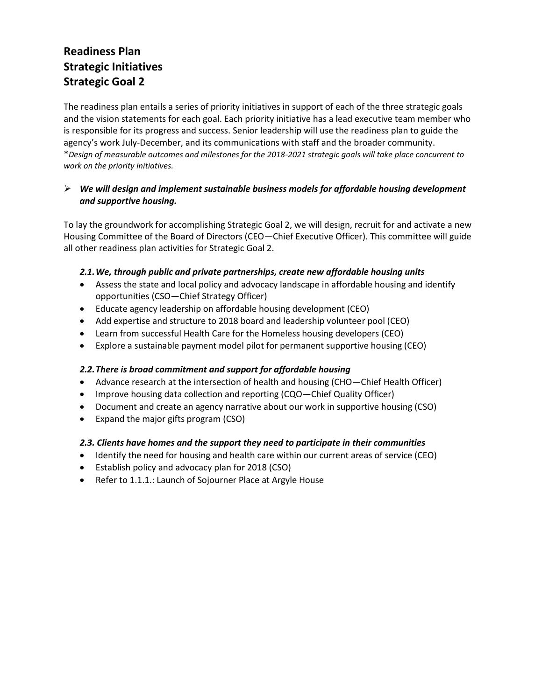# **Readiness Plan Strategic Initiatives Strategic Goal 2**

The readiness plan entails a series of priority initiatives in support of each of the three strategic goals and the vision statements for each goal. Each priority initiative has a lead executive team member who is responsible for its progress and success. Senior leadership will use the readiness plan to guide the agency's work July-December, and its communications with staff and the broader community. \**Design of measurable outcomes and milestones for the 2018-2021 strategic goals will take place concurrent to work on the priority initiatives.*

## *We will design and implement sustainable business models for affordable housing development and supportive housing.*

To lay the groundwork for accomplishing Strategic Goal 2, we will design, recruit for and activate a new Housing Committee of the Board of Directors (CEO—Chief Executive Officer). This committee will guide all other readiness plan activities for Strategic Goal 2.

## *2.1.We, through public and private partnerships, create new affordable housing units*

- Assess the state and local policy and advocacy landscape in affordable housing and identify opportunities (CSO—Chief Strategy Officer)
- Educate agency leadership on affordable housing development (CEO)
- Add expertise and structure to 2018 board and leadership volunteer pool (CEO)
- Learn from successful Health Care for the Homeless housing developers (CEO)
- Explore a sustainable payment model pilot for permanent supportive housing (CEO)

## *2.2.There is broad commitment and support for affordable housing*

- Advance research at the intersection of health and housing (CHO—Chief Health Officer)
- Improve housing data collection and reporting (CQO—Chief Quality Officer)
- Document and create an agency narrative about our work in supportive housing (CSO)
- Expand the major gifts program (CSO)

#### *2.3. Clients have homes and the support they need to participate in their communities*

- Identify the need for housing and health care within our current areas of service (CEO)
- Establish policy and advocacy plan for 2018 (CSO)
- Refer to 1.1.1.: Launch of Sojourner Place at Argyle House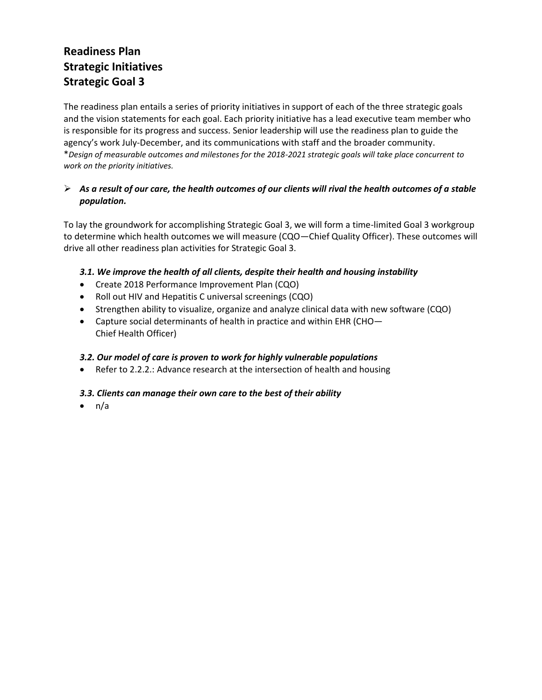# **Readiness Plan Strategic Initiatives Strategic Goal 3**

The readiness plan entails a series of priority initiatives in support of each of the three strategic goals and the vision statements for each goal. Each priority initiative has a lead executive team member who is responsible for its progress and success. Senior leadership will use the readiness plan to guide the agency's work July-December, and its communications with staff and the broader community. \**Design of measurable outcomes and milestones for the 2018-2021 strategic goals will take place concurrent to work on the priority initiatives.*

## *As a result of our care, the health outcomes of our clients will rival the health outcomes of a stable population.*

To lay the groundwork for accomplishing Strategic Goal 3, we will form a time-limited Goal 3 workgroup to determine which health outcomes we will measure (CQO—Chief Quality Officer). These outcomes will drive all other readiness plan activities for Strategic Goal 3.

## *3.1. We improve the health of all clients, despite their health and housing instability*

- Create 2018 Performance Improvement Plan (CQO)
- Roll out HIV and Hepatitis C universal screenings (CQO)
- Strengthen ability to visualize, organize and analyze clinical data with new software (CQO)
- Capture social determinants of health in practice and within EHR (CHO– Chief Health Officer)

## *3.2. Our model of care is proven to work for highly vulnerable populations*

Refer to 2.2.2.: Advance research at the intersection of health and housing

## *3.3. Clients can manage their own care to the best of their ability*

 $\bullet$  n/a